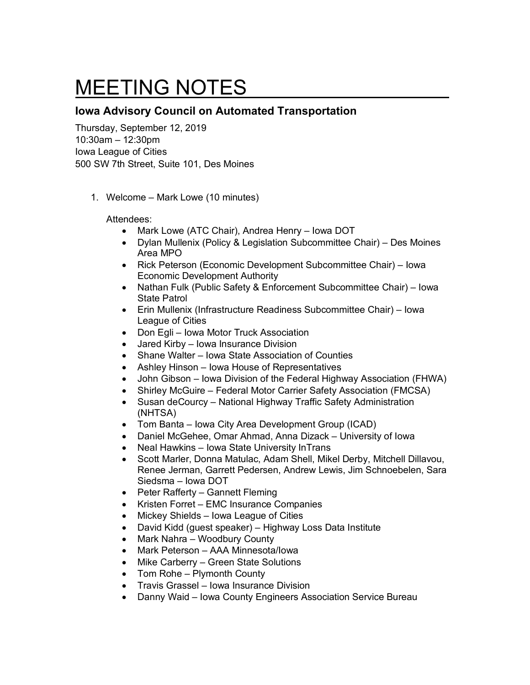## MEETING NOTES

## **Iowa Advisory Council on Automated Transportation**

Thursday, September 12, 2019 10:30am – 12:30pm Iowa League of Cities 500 SW 7th Street, Suite 101, Des Moines

1. Welcome – Mark Lowe (10 minutes)

Attendees:

- Mark Lowe (ATC Chair), Andrea Henry Iowa DOT
- Dylan Mullenix (Policy & Legislation Subcommittee Chair) Des Moines Area MPO
- Rick Peterson (Economic Development Subcommittee Chair) Iowa Economic Development Authority
- Nathan Fulk (Public Safety & Enforcement Subcommittee Chair) Iowa State Patrol
- Erin Mullenix (Infrastructure Readiness Subcommittee Chair) Iowa League of Cities
- Don Egli Iowa Motor Truck Association
- Jared Kirby Iowa Insurance Division
- Shane Walter Iowa State Association of Counties
- Ashley Hinson Iowa House of Representatives
- John Gibson Iowa Division of the Federal Highway Association (FHWA)
- Shirley McGuire Federal Motor Carrier Safety Association (FMCSA)
- Susan deCourcy National Highway Traffic Safety Administration (NHTSA)
- Tom Banta Iowa City Area Development Group (ICAD)
- Daniel McGehee, Omar Ahmad, Anna Dizack University of Iowa
- Neal Hawkins Iowa State University InTrans
- Scott Marler, Donna Matulac, Adam Shell, Mikel Derby, Mitchell Dillavou, Renee Jerman, Garrett Pedersen, Andrew Lewis, Jim Schnoebelen, Sara Siedsma – Iowa DOT
- Peter Rafferty Gannett Fleming
- Kristen Forret EMC Insurance Companies
- Mickey Shields Iowa League of Cities
- David Kidd (guest speaker) Highway Loss Data Institute
- Mark Nahra Woodbury County
- Mark Peterson AAA Minnesota/Iowa
- Mike Carberry Green State Solutions
- Tom Rohe Plymonth County
- Travis Grassel Iowa Insurance Division
- Danny Waid Iowa County Engineers Association Service Bureau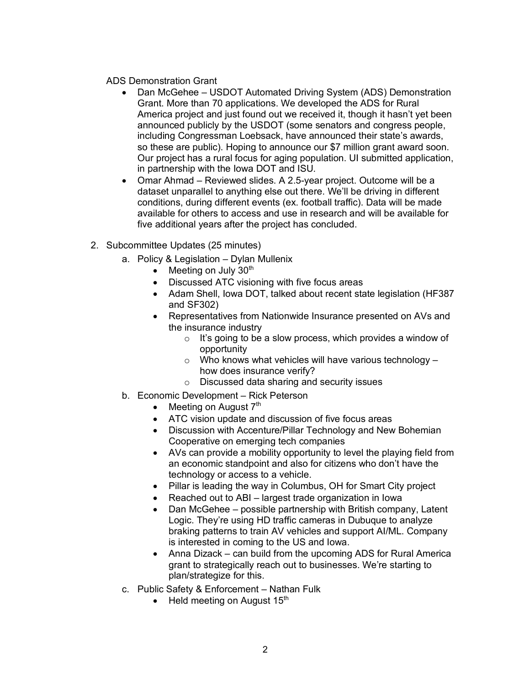## ADS Demonstration Grant

- Dan McGehee USDOT Automated Driving System (ADS) Demonstration Grant. More than 70 applications. We developed the ADS for Rural America project and just found out we received it, though it hasn't yet been announced publicly by the USDOT (some senators and congress people, including Congressman Loebsack, have announced their state's awards, so these are public). Hoping to announce our \$7 million grant award soon. Our project has a rural focus for aging population. UI submitted application, in partnership with the Iowa DOT and ISU.
- Omar Ahmad Reviewed slides. A 2.5-year project. Outcome will be a dataset unparallel to anything else out there. We'll be driving in different conditions, during different events (ex. football traffic). Data will be made available for others to access and use in research and will be available for five additional years after the project has concluded.
- 2. Subcommittee Updates (25 minutes)
	- a. Policy & Legislation Dylan Mullenix
		- Meeting on July  $30<sup>th</sup>$
		- Discussed ATC visioning with five focus areas
		- Adam Shell, Iowa DOT, talked about recent state legislation (HF387 and SF302)
		- Representatives from Nationwide Insurance presented on AVs and the insurance industry
			- $\circ$  It's going to be a slow process, which provides a window of opportunity
			- $\circ$  Who knows what vehicles will have various technology how does insurance verify?
			- o Discussed data sharing and security issues
	- b. Economic Development Rick Peterson
		- Meeting on August  $7<sup>th</sup>$
		- ATC vision update and discussion of five focus areas
		- Discussion with Accenture/Pillar Technology and New Bohemian Cooperative on emerging tech companies
		- AVs can provide a mobility opportunity to level the playing field from an economic standpoint and also for citizens who don't have the technology or access to a vehicle.
		- Pillar is leading the way in Columbus, OH for Smart City project
		- Reached out to ABI largest trade organization in Iowa
		- Dan McGehee possible partnership with British company, Latent Logic. They're using HD traffic cameras in Dubuque to analyze braking patterns to train AV vehicles and support AI/ML. Company is interested in coming to the US and Iowa.
		- Anna Dizack can build from the upcoming ADS for Rural America grant to strategically reach out to businesses. We're starting to plan/strategize for this.
	- c. Public Safety & Enforcement Nathan Fulk
		- Held meeting on August  $15<sup>th</sup>$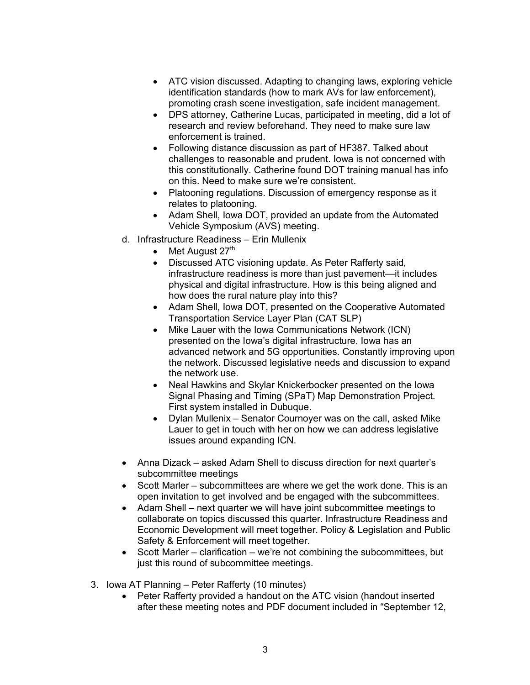- ATC vision discussed. Adapting to changing laws, exploring vehicle identification standards (how to mark AVs for law enforcement), promoting crash scene investigation, safe incident management.
- DPS attorney, Catherine Lucas, participated in meeting, did a lot of research and review beforehand. They need to make sure law enforcement is trained.
- Following distance discussion as part of HF387. Talked about challenges to reasonable and prudent. Iowa is not concerned with this constitutionally. Catherine found DOT training manual has info on this. Need to make sure we're consistent.
- Platooning regulations. Discussion of emergency response as it relates to platooning.
- Adam Shell, Iowa DOT, provided an update from the Automated Vehicle Symposium (AVS) meeting.
- d. Infrastructure Readiness Erin Mullenix
	- Met August  $27<sup>th</sup>$
	- Discussed ATC visioning update. As Peter Rafferty said, infrastructure readiness is more than just pavement—it includes physical and digital infrastructure. How is this being aligned and how does the rural nature play into this?
	- Adam Shell, Iowa DOT, presented on the Cooperative Automated Transportation Service Layer Plan (CAT SLP)
	- Mike Lauer with the Iowa Communications Network (ICN) presented on the Iowa's digital infrastructure. Iowa has an advanced network and 5G opportunities. Constantly improving upon the network. Discussed legislative needs and discussion to expand the network use.
	- Neal Hawkins and Skylar Knickerbocker presented on the Iowa Signal Phasing and Timing (SPaT) Map Demonstration Project. First system installed in Dubuque.
	- Dylan Mullenix Senator Cournoyer was on the call, asked Mike Lauer to get in touch with her on how we can address legislative issues around expanding ICN.
- Anna Dizack asked Adam Shell to discuss direction for next quarter's subcommittee meetings
- Scott Marler subcommittees are where we get the work done. This is an open invitation to get involved and be engaged with the subcommittees.
- Adam Shell next quarter we will have joint subcommittee meetings to collaborate on topics discussed this quarter. Infrastructure Readiness and Economic Development will meet together. Policy & Legislation and Public Safety & Enforcement will meet together.
- Scott Marler clarification we're not combining the subcommittees, but just this round of subcommittee meetings.
- 3. Iowa AT Planning Peter Rafferty (10 minutes)
	- Peter Rafferty provided a handout on the ATC vision (handout inserted after these meeting notes and PDF document included in "September 12,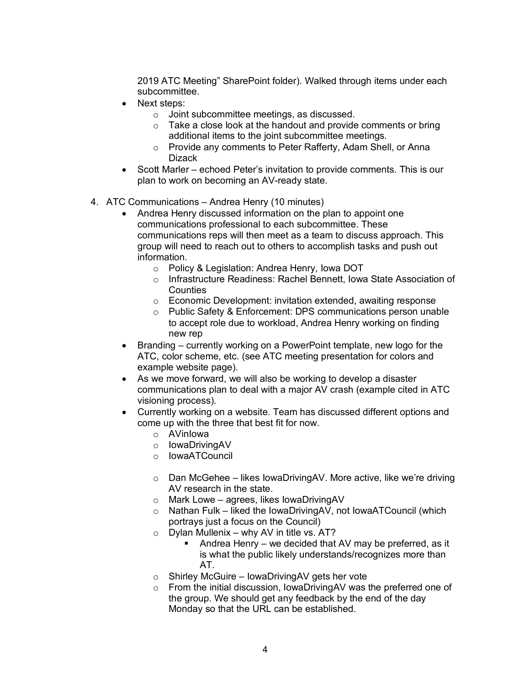2019 ATC Meeting" SharePoint folder). Walked through items under each subcommittee.

- Next steps:
	- o Joint subcommittee meetings, as discussed.
	- o Take a close look at the handout and provide comments or bring additional items to the joint subcommittee meetings.
	- o Provide any comments to Peter Rafferty, Adam Shell, or Anna **Dizack**
- Scott Marler echoed Peter's invitation to provide comments. This is our plan to work on becoming an AV-ready state.
- 4. ATC Communications Andrea Henry (10 minutes)
	- Andrea Henry discussed information on the plan to appoint one communications professional to each subcommittee. These communications reps will then meet as a team to discuss approach. This group will need to reach out to others to accomplish tasks and push out information.
		- o Policy & Legislation: Andrea Henry, Iowa DOT
		- o Infrastructure Readiness: Rachel Bennett, Iowa State Association of **Counties**
		- o Economic Development: invitation extended, awaiting response
		- o Public Safety & Enforcement: DPS communications person unable to accept role due to workload, Andrea Henry working on finding new rep
	- Branding currently working on a PowerPoint template, new logo for the ATC, color scheme, etc. (see ATC meeting presentation for colors and example website page).
	- As we move forward, we will also be working to develop a disaster communications plan to deal with a major AV crash (example cited in ATC visioning process).
	- Currently working on a website. Team has discussed different options and come up with the three that best fit for now.
		- o AVinIowa
		- o IowaDrivingAV
		- o IowaATCouncil
		- o Dan McGehee likes IowaDrivingAV. More active, like we're driving AV research in the state.
		- o Mark Lowe agrees, likes IowaDrivingAV
		- o Nathan Fulk liked the IowaDrivingAV, not IowaATCouncil (which portrays just a focus on the Council)
		- $\circ$  Dylan Mullenix why AV in title vs. AT?
			- Andrea Henry we decided that AV may be preferred, as it is what the public likely understands/recognizes more than AT.
		- o Shirley McGuire IowaDrivingAV gets her vote
		- o From the initial discussion, IowaDrivingAV was the preferred one of the group. We should get any feedback by the end of the day Monday so that the URL can be established.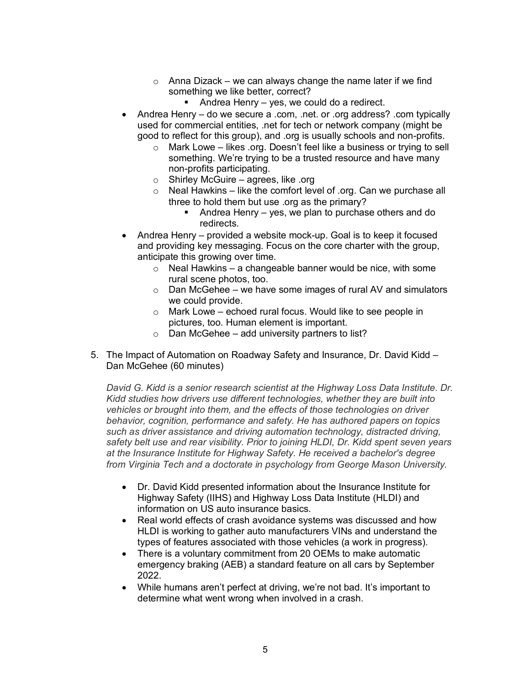- $\circ$  Anna Dizack we can always change the name later if we find something we like better, correct?
	- Andrea Henry yes, we could do a redirect.
- Andrea Henry do we secure a .com, .net. or .org address? .com typically used for commercial entities, .net for tech or network company (might be good to reflect for this group), and .org is usually schools and non-profits.
	- o Mark Lowe likes .org. Doesn't feel like a business or trying to sell something. We're trying to be a trusted resource and have many non-profits participating.
	- $\circ$  Shirley McGuire agrees, like .org
	- o Neal Hawkins like the comfort level of .org. Can we purchase all three to hold them but use .org as the primary?
		- Andrea Henry yes, we plan to purchase others and do redirects.
- Andrea Henry provided a website mock-up. Goal is to keep it focused and providing key messaging. Focus on the core charter with the group, anticipate this growing over time.
	- $\circ$  Neal Hawkins a changeable banner would be nice, with some rural scene photos, too.
	- $\circ$  Dan McGehee we have some images of rural AV and simulators we could provide.
	- $\circ$  Mark Lowe echoed rural focus. Would like to see people in pictures, too. Human element is important.
	- $\circ$  Dan McGehee add university partners to list?
- 5. The Impact of Automation on Roadway Safety and Insurance, Dr. David Kidd Dan McGehee (60 minutes)

*David G. Kidd is a senior research scientist at the Highway Loss Data Institute. Dr. Kidd studies how drivers use different technologies, whether they are built into vehicles or brought into them, and the effects of those technologies on driver behavior, cognition, performance and safety. He has authored papers on topics such as driver assistance and driving automation technology, distracted driving, safety belt use and rear visibility. Prior to joining HLDI, Dr. Kidd spent seven years at the Insurance Institute for Highway Safety. He received a bachelor's degree from Virginia Tech and a doctorate in psychology from George Mason University.*

- Dr. David Kidd presented information about the Insurance Institute for Highway Safety (IIHS) and Highway Loss Data Institute (HLDI) and information on US auto insurance basics.
- Real world effects of crash avoidance systems was discussed and how HLDI is working to gather auto manufacturers VINs and understand the types of features associated with those vehicles (a work in progress).
- There is a voluntary commitment from 20 OEMs to make automatic emergency braking (AEB) a standard feature on all cars by September 2022.
- While humans aren't perfect at driving, we're not bad. It's important to determine what went wrong when involved in a crash.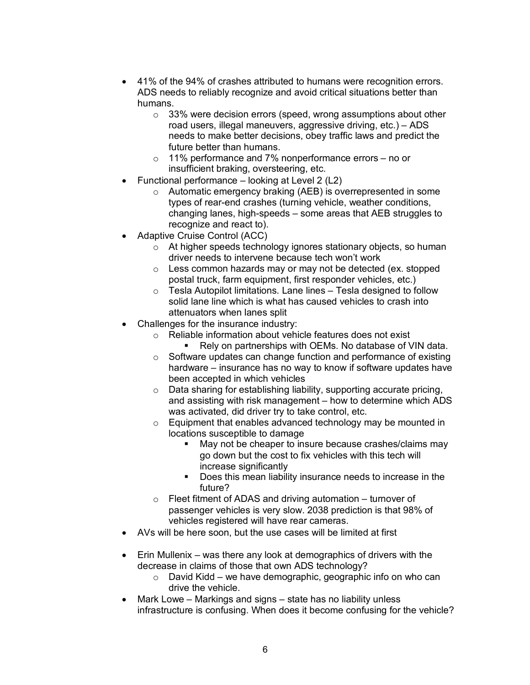- 41% of the 94% of crashes attributed to humans were recognition errors. ADS needs to reliably recognize and avoid critical situations better than humans.
	- o 33% were decision errors (speed, wrong assumptions about other road users, illegal maneuvers, aggressive driving, etc.) – ADS needs to make better decisions, obey traffic laws and predict the future better than humans.
	- o 11% performance and 7% nonperformance errors no or insufficient braking, oversteering, etc.
- Functional performance looking at Level 2 (L2)
	- o Automatic emergency braking (AEB) is overrepresented in some types of rear-end crashes (turning vehicle, weather conditions, changing lanes, high-speeds – some areas that AEB struggles to recognize and react to).
- Adaptive Cruise Control (ACC)
	- o At higher speeds technology ignores stationary objects, so human driver needs to intervene because tech won't work
	- o Less common hazards may or may not be detected (ex. stopped postal truck, farm equipment, first responder vehicles, etc.)
	- $\circ$  Tesla Autopilot limitations. Lane lines Tesla designed to follow solid lane line which is what has caused vehicles to crash into attenuators when lanes split
- Challenges for the insurance industry:
	- o Reliable information about vehicle features does not exist
		- Rely on partnerships with OEMs. No database of VIN data.
	- o Software updates can change function and performance of existing hardware – insurance has no way to know if software updates have been accepted in which vehicles
	- o Data sharing for establishing liability, supporting accurate pricing, and assisting with risk management – how to determine which ADS was activated, did driver try to take control, etc.
	- $\circ$  Equipment that enables advanced technology may be mounted in locations susceptible to damage
		- May not be cheaper to insure because crashes/claims may go down but the cost to fix vehicles with this tech will increase significantly
		- § Does this mean liability insurance needs to increase in the future?
	- $\circ$  Fleet fitment of ADAS and driving automation turnover of passenger vehicles is very slow. 2038 prediction is that 98% of vehicles registered will have rear cameras.
- AVs will be here soon, but the use cases will be limited at first
- Erin Mullenix was there any look at demographics of drivers with the decrease in claims of those that own ADS technology?
	- $\circ$  David Kidd we have demographic, geographic info on who can drive the vehicle.
- Mark Lowe Markings and signs state has no liability unless infrastructure is confusing. When does it become confusing for the vehicle?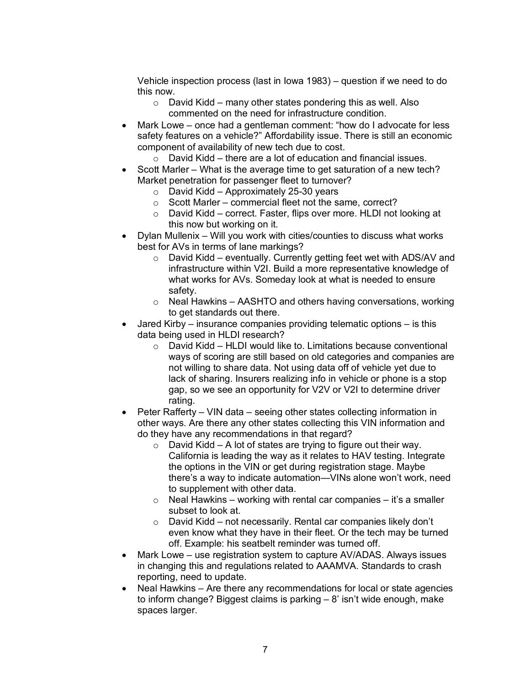Vehicle inspection process (last in Iowa 1983) – question if we need to do this now.

- $\circ$  David Kidd many other states pondering this as well. Also commented on the need for infrastructure condition.
- Mark Lowe once had a gentleman comment: "how do I advocate for less safety features on a vehicle?" Affordability issue. There is still an economic component of availability of new tech due to cost.
	- o David Kidd there are a lot of education and financial issues.
- Scott Marler What is the average time to get saturation of a new tech? Market penetration for passenger fleet to turnover?
	- $\circ$  David Kidd Approximately 25-30 years
	- o Scott Marler commercial fleet not the same, correct?
	- o David Kidd correct. Faster, flips over more. HLDI not looking at this now but working on it.
- Dylan Mullenix Will you work with cities/counties to discuss what works best for AVs in terms of lane markings?
	- o David Kidd eventually. Currently getting feet wet with ADS/AV and infrastructure within V2I. Build a more representative knowledge of what works for AVs. Someday look at what is needed to ensure safety.
	- $\circ$  Neal Hawkins AASHTO and others having conversations, working to get standards out there.
- Jared Kirby insurance companies providing telematic options is this data being used in HLDI research?
	- o David Kidd HLDI would like to. Limitations because conventional ways of scoring are still based on old categories and companies are not willing to share data. Not using data off of vehicle yet due to lack of sharing. Insurers realizing info in vehicle or phone is a stop gap, so we see an opportunity for V2V or V2I to determine driver rating.
- Peter Rafferty VIN data seeing other states collecting information in other ways. Are there any other states collecting this VIN information and do they have any recommendations in that regard?
	- $\circ$  David Kidd A lot of states are trying to figure out their way. California is leading the way as it relates to HAV testing. Integrate the options in the VIN or get during registration stage. Maybe there's a way to indicate automation—VINs alone won't work, need to supplement with other data.
	- $\circ$  Neal Hawkins working with rental car companies it's a smaller subset to look at.
	- o David Kidd not necessarily. Rental car companies likely don't even know what they have in their fleet. Or the tech may be turned off. Example: his seatbelt reminder was turned off.
- Mark Lowe use registration system to capture AV/ADAS. Always issues in changing this and regulations related to AAAMVA. Standards to crash reporting, need to update.
- Neal Hawkins Are there any recommendations for local or state agencies to inform change? Biggest claims is parking – 8' isn't wide enough, make spaces larger.